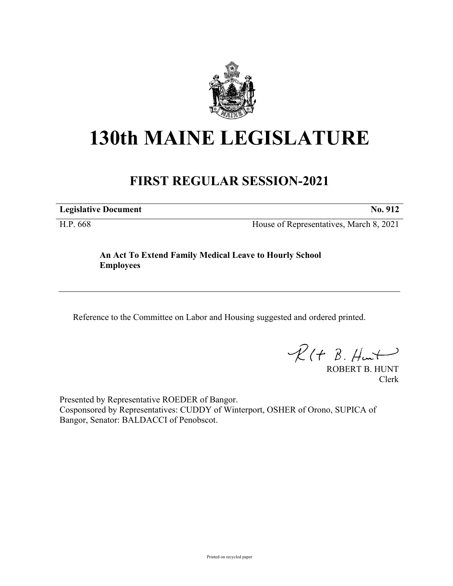

## **130th MAINE LEGISLATURE**

## **FIRST REGULAR SESSION-2021**

**Legislative Document No. 912**

H.P. 668 House of Representatives, March 8, 2021

**An Act To Extend Family Medical Leave to Hourly School Employees**

Reference to the Committee on Labor and Housing suggested and ordered printed.

 $R(t B. Hmt)$ 

ROBERT B. HUNT Clerk

Presented by Representative ROEDER of Bangor. Cosponsored by Representatives: CUDDY of Winterport, OSHER of Orono, SUPICA of Bangor, Senator: BALDACCI of Penobscot.